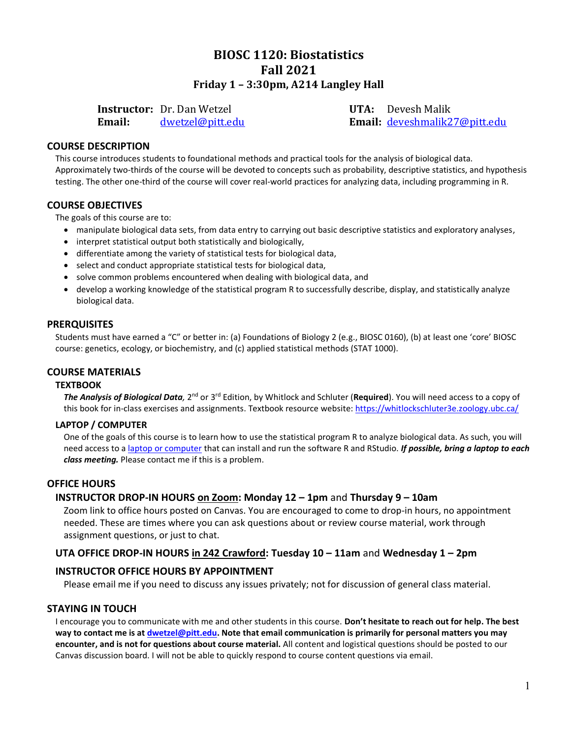## **BIOSC 1120: Biostatistics Fall 2021 Friday 1 – 3:30pm, A214 Langley Hall**

**Instructor:** Dr. Dan Wetzel **UTA:** Devesh Malik

**Email:** [dwetzel@pitt.edu](mailto:dwetzel@pitt.edu) **Email:** [deveshmalik27@pitt.edu](mailto:deveshmalik27@pitt.edu)

## **COURSE DESCRIPTION**

This course introduces students to foundational methods and practical tools for the analysis of biological data. Approximately two-thirds of the course will be devoted to concepts such as probability, descriptive statistics, and hypothesis testing. The other one-third of the course will cover real-world practices for analyzing data, including programming in R.

## **COURSE OBJECTIVES**

The goals of this course are to:

- manipulate biological data sets, from data entry to carrying out basic descriptive statistics and exploratory analyses,
- interpret statistical output both statistically and biologically,
- differentiate among the variety of statistical tests for biological data,
- select and conduct appropriate statistical tests for biological data,
- solve common problems encountered when dealing with biological data, and
- develop a working knowledge of the statistical program R to successfully describe, display, and statistically analyze biological data.

#### **PRERQUISITES**

Students must have earned a "C" or better in: (a) Foundations of Biology 2 (e.g., BIOSC 0160), (b) at least one 'core' BIOSC course: genetics, ecology, or biochemistry, and (c) applied statistical methods (STAT 1000).

## **COURSE MATERIALS**

#### **TEXTBOOK**

The Analysis of Biological Data, 2<sup>nd</sup> or 3<sup>rd</sup> Edition, by Whitlock and Schluter (Required). You will need access to a copy of this book for in-class exercises and assignments. Textbook resource website:<https://whitlockschluter3e.zoology.ubc.ca/>

#### **LAPTOP / COMPUTER**

One of the goals of this course is to learn how to use the statistical program R to analyze biological data. As such, you will need access to a [laptop or computer](https://www.technology.pitt.edu/services/computer-purchasing-students) that can install and run the software R and RStudio. *If possible, bring a laptop to each class meeting.* Please contact me if this is a problem.

## **OFFICE HOURS**

## **INSTRUCTOR DROP-IN HOURS on Zoom: Monday 12 – 1pm** and **Thursday 9 – 10am**

Zoom link to office hours posted on Canvas. You are encouraged to come to drop-in hours, no appointment needed. These are times where you can ask questions about or review course material, work through assignment questions, or just to chat.

## **UTA OFFICE DROP-IN HOURS in 242 Crawford: Tuesday 10 – 11am** and **Wednesday 1 – 2pm**

## **INSTRUCTOR OFFICE HOURS BY APPOINTMENT**

Please email me if you need to discuss any issues privately; not for discussion of general class material.

#### **STAYING IN TOUCH**

I encourage you to communicate with me and other students in this course. **Don't hesitate to reach out for help. The best way to contact me is at [dwetzel@pitt.edu.](mailto:dwetzel@pitt.edu) Note that email communication is primarily for personal matters you may encounter, and is not for questions about course material.** All content and logistical questions should be posted to our Canvas discussion board. I will not be able to quickly respond to course content questions via email.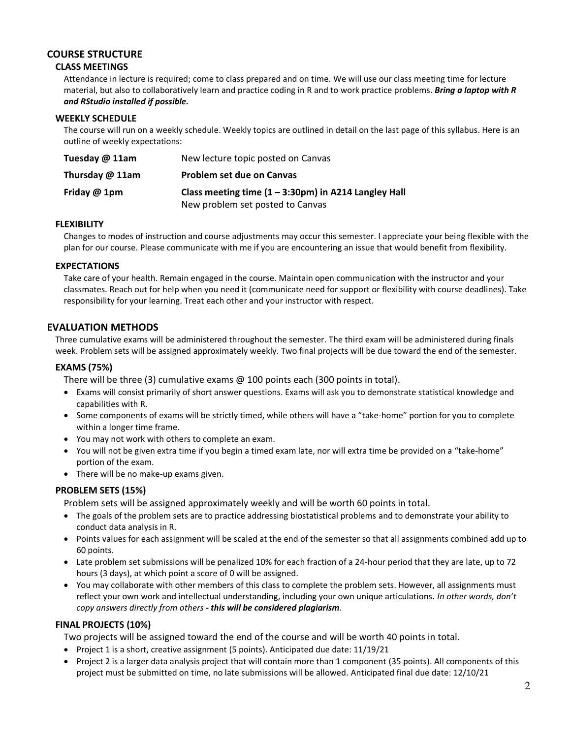## **COURSE STRUCTURE**

## **CLASS MEETINGS**

Attendance in lecture is required; come to class prepared and on time. We will use our class meeting time for lecture material, but also to collaboratively learn and practice coding in R and to work practice problems. *Bring a laptop with R and RStudio installed if possible.*

#### **WEEKLY SCHEDULE**

The course will run on a weekly schedule. Weekly topics are outlined in detail on the last page of this syllabus. Here is an outline of weekly expectations:

| Tuesday @ 11am    | New lecture topic posted on Canvas                             |
|-------------------|----------------------------------------------------------------|
| Thursday $@$ 11am | <b>Problem set due on Canvas</b>                               |
| Friday @ 1pm      | Class meeting time $(1 - 3:30 \text{pm})$ in A214 Langley Hall |
|                   | New problem set posted to Canvas                               |

## **FLEXIBILITY**

Changes to modes of instruction and course adjustments may occur this semester. I appreciate your being flexible with the plan for our course. Please communicate with me if you are encountering an issue that would benefit from flexibility.

## **EXPECTATIONS**

Take care of your health. Remain engaged in the course. Maintain open communication with the instructor and your classmates. Reach out for help when you need it (communicate need for support or flexibility with course deadlines). Take responsibility for your learning. Treat each other and your instructor with respect.

## **EVALUATION METHODS**

Three cumulative exams will be administered throughout the semester. The third exam will be administered during finals week. Problem sets will be assigned approximately weekly. Two final projects will be due toward the end of the semester.

## **EXAMS (75%)**

There will be three (3) cumulative exams @ 100 points each (300 points in total).

- Exams will consist primarily of short answer questions. Exams will ask you to demonstrate statistical knowledge and capabilities with R.
- Some components of exams will be strictly timed, while others will have a "take-home" portion for you to complete within a longer time frame.
- You may not work with others to complete an exam.
- You will not be given extra time if you begin a timed exam late, nor will extra time be provided on a "take-home" portion of the exam.
- There will be no make-up exams given.

## **PROBLEM SETS (15%)**

Problem sets will be assigned approximately weekly and will be worth 60 points in total.

- The goals of the problem sets are to practice addressing biostatistical problems and to demonstrate your ability to conduct data analysis in R.
- Points values for each assignment will be scaled at the end of the semester so that all assignments combined add up to 60 points.
- Late problem set submissions will be penalized 10% for each fraction of a 24-hour period that they are late, up to 72 hours (3 days), at which point a score of 0 will be assigned.
- You may collaborate with other members of this class to complete the problem sets. However, all assignments must reflect your own work and intellectual understanding, including your own unique articulations. *In other words, don't copy answers directly from others - this will be considered plagiarism*.

## **FINAL PROJECTS (10%)**

Two projects will be assigned toward the end of the course and will be worth 40 points in total.

- Project 1 is a short, creative assignment (5 points). Anticipated due date: 11/19/21
- Project 2 is a larger data analysis project that will contain more than 1 component (35 points). All components of this project must be submitted on time, no late submissions will be allowed. Anticipated final due date: 12/10/21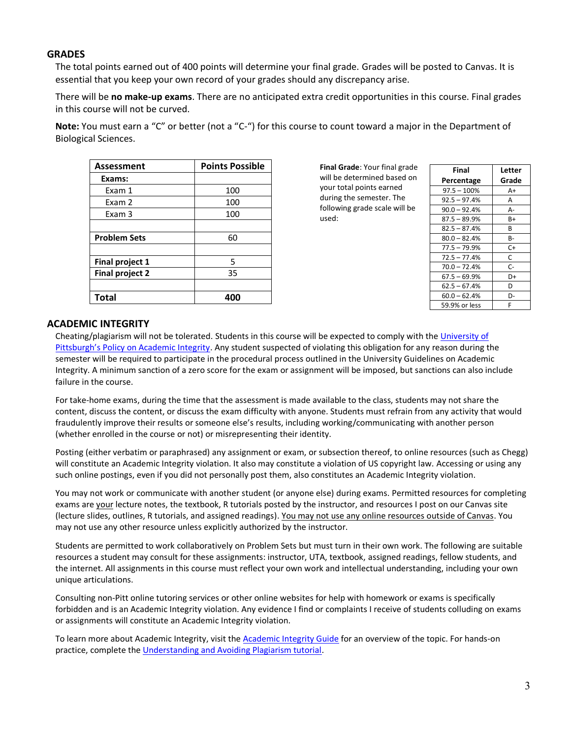## **GRADES**

The total points earned out of 400 points will determine your final grade. Grades will be posted to Canvas. It is essential that you keep your own record of your grades should any discrepancy arise.

There will be **no make-up exams**. There are no anticipated extra credit opportunities in this course. Final grades in this course will not be curved.

**Note:** You must earn a "C" or better (not a "C-") for this course to count toward a major in the Department of Biological Sciences.

| Assessment             | <b>Points Possible</b> |  |
|------------------------|------------------------|--|
| Exams:                 |                        |  |
| Exam 1                 | 100                    |  |
| Exam 2                 | 100                    |  |
| Exam 3                 | 100                    |  |
|                        |                        |  |
| <b>Problem Sets</b>    | 60                     |  |
|                        |                        |  |
| <b>Final project 1</b> | 5                      |  |
| <b>Final project 2</b> | 35                     |  |
|                        |                        |  |
| <b>Total</b>           | 400                    |  |

**Final Grade**: Your final grade will be determined based on your total points earned during the semester. The following grade scale will be used:

| Final          | Letter |
|----------------|--------|
| Percentage     | Grade  |
| $97.5 - 100%$  | $A+$   |
| $92.5 - 97.4%$ | А      |
| $90.0 - 92.4%$ | А-     |
| $87.5 - 89.9%$ | B+     |
| $82.5 - 87.4%$ | В      |
| $80.0 - 82.4%$ | в-     |
| $77.5 - 79.9%$ | C+     |
| $72.5 - 77.4%$ | C      |
| $70.0 - 72.4%$ | C-     |
| $67.5 - 69.9%$ | D+     |
| $62.5 - 67.4%$ | D      |
| $60.0 - 62.4%$ | D-     |
| 59.9% or less  | F      |

#### **ACADEMIC INTEGRITY**

Cheating/plagiarism will not be tolerated. Students in this course will be expected to comply with th[e University of](http://www.cfo.pitt.edu/policies/policy/02/02-03-02.html)  [Pittsburgh's Policy on Academic Integrity](http://www.cfo.pitt.edu/policies/policy/02/02-03-02.html). Any student suspected of violating this obligation for any reason during the semester will be required to participate in the procedural process outlined in the University Guidelines on Academic Integrity. A minimum sanction of a zero score for the exam or assignment will be imposed, but sanctions can also include failure in the course.

For take-home exams, during the time that the assessment is made available to the class, students may not share the content, discuss the content, or discuss the exam difficulty with anyone. Students must refrain from any activity that would fraudulently improve their results or someone else's results, including working/communicating with another person (whether enrolled in the course or not) or misrepresenting their identity.

Posting (either verbatim or paraphrased) any assignment or exam, or subsection thereof, to online resources (such as Chegg) will constitute an Academic Integrity violation. It also may constitute a violation of US copyright law. Accessing or using any such online postings, even if you did not personally post them, also constitutes an Academic Integrity violation.

You may not work or communicate with another student (or anyone else) during exams. Permitted resources for completing exams are your lecture notes, the textbook, R tutorials posted by the instructor, and resources I post on our Canvas site (lecture slides, outlines, R tutorials, and assigned readings). You may not use any online resources outside of Canvas. You may not use any other resource unless explicitly authorized by the instructor.

Students are permitted to work collaboratively on Problem Sets but must turn in their own work. The following are suitable resources a student may consult for these assignments: instructor, UTA, textbook, assigned readings, fellow students, and the internet. All assignments in this course must reflect your own work and intellectual understanding, including your own unique articulations.

Consulting non-Pitt online tutoring services or other online websites for help with homework or exams is specifically forbidden and is an Academic Integrity violation. Any evidence I find or complaints I receive of students colluding on exams or assignments will constitute an Academic Integrity violation.

To learn more about Academic Integrity, visit th[e Academic Integrity Guide](http://pitt.libguides.com/academicintegrity/) for an overview of the topic. For hands-on practice, complete the [Understanding and Avoiding Plagiarism tutorial.](https://canvas.pitt.edu/enroll/3LJA96)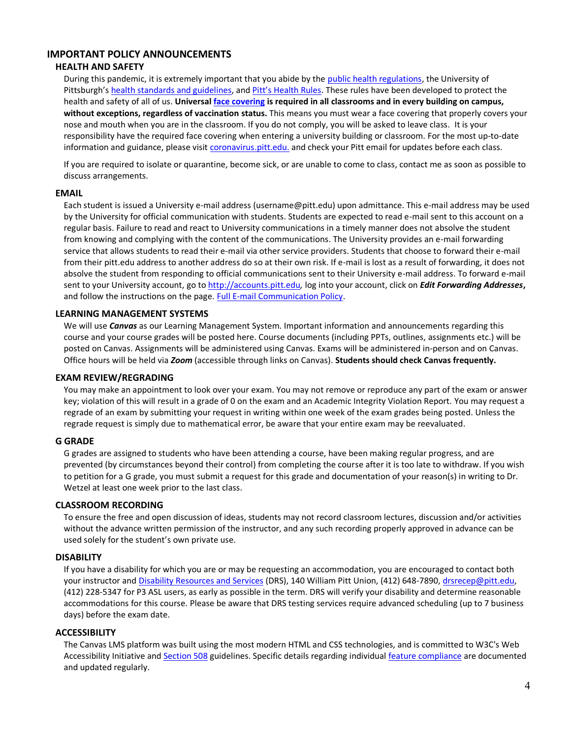## **IMPORTANT POLICY ANNOUNCEMENTS**

#### **HEALTH AND SAFETY**

During this pandemic, it is extremely important that you abide by the [public health regulations,](https://www.alleghenycounty.us/Health-Department/Resources/COVID-19/COVID-19.aspx) the University of Pittsburgh's [health standards and guidelines,](https://www.policy.pitt.edu/university-policies-and-procedures/covid-19-standards-and-guidelines) and [Pitt's Health Rules](https://www.coronavirus.pitt.edu/healthy-community/pitts-health-rules). These rules have been developed to protect the health and safety of all of us. **Universal [face covering](https://www.coronavirus.pitt.edu/frequently-asked-questions-about-face-coverings) is required in all classrooms and in every building on campus, without exceptions, regardless of vaccination status.** This means you must wear a face covering that properly covers your nose and mouth when you are in the classroom. If you do not comply, you will be asked to leave class. It is your responsibility have the required face covering when entering a university building or classroom. For the most up-to-date information and guidance, please visit [coronavirus.pitt.edu.](http://coronavirus.pitt.edu/) and check your Pitt email for updates before each class.

If you are required to isolate or quarantine, become sick, or are unable to come to class, contact me as soon as possible to discuss arrangements.

#### **EMAIL**

Each student is issued a University e-mail address (username@pitt.edu) upon admittance. This e-mail address may be used by the University for official communication with students. Students are expected to read e-mail sent to this account on a regular basis. Failure to read and react to University communications in a timely manner does not absolve the student from knowing and complying with the content of the communications. The University provides an e-mail forwarding service that allows students to read their e-mail via other service providers. Students that choose to forward their e-mail from their pitt.edu address to another address do so at their own risk. If e-mail is lost as a result of forwarding, it does not absolve the student from responding to official communications sent to their University e-mail address. To forward e-mail sent to your University account, go t[o http://accounts.pitt.edu](http://accounts.pitt.edu/)*,* log into your account, click on *Edit Forwarding Addresses***,** and follow the instructions on the page[. Full E-mail Communication Policy.](https://www.cfo.pitt.edu/policies/policy/09/09-10-01.html)

#### **LEARNING MANAGEMENT SYSTEMS**

We will use *Canvas* as our Learning Management System. Important information and announcements regarding this course and your course grades will be posted here. Course documents (including PPTs, outlines, assignments etc.) will be posted on Canvas. Assignments will be administered using Canvas. Exams will be administered in-person and on Canvas. Office hours will be held via *Zoom* (accessible through links on Canvas). **Students should check Canvas frequently.**

#### **EXAM REVIEW/REGRADING**

You may make an appointment to look over your exam. You may not remove or reproduce any part of the exam or answer key; violation of this will result in a grade of 0 on the exam and an Academic Integrity Violation Report. You may request a regrade of an exam by submitting your request in writing within one week of the exam grades being posted. Unless the regrade request is simply due to mathematical error, be aware that your entire exam may be reevaluated.

#### **G GRADE**

G grades are assigned to students who have been attending a course, have been making regular progress, and are prevented (by circumstances beyond their control) from completing the course after it is too late to withdraw. If you wish to petition for a G grade, you must submit a request for this grade and documentation of your reason(s) in writing to Dr. Wetzel at least one week prior to the last class.

#### **CLASSROOM RECORDING**

To ensure the free and open discussion of ideas, students may not record classroom lectures, discussion and/or activities without the advance written permission of the instructor, and any such recording properly approved in advance can be used solely for the student's own private use.

#### **DISABILITY**

If you have a disability for which you are or may be requesting an accommodation, you are encouraged to contact both your instructor and [Disability Resources and Services](https://www.studentaffairs.pitt.edu/drs/) (DRS), 140 William Pitt Union, (412) 648-7890, [drsrecep@pitt.edu,](mailto:drsrecep@pitt.edu) (412) 228-5347 for P3 ASL users, as early as possible in the term. DRS will verify your disability and determine reasonable accommodations for this course. Please be aware that DRS testing services require advanced scheduling (up to 7 business days) before the exam date.

#### **ACCESSIBILITY**

The Canvas LMS platform was built using the most modern HTML and CSS technologies, and is committed to W3C's Web Accessibility Initiative an[d Section 508](http://www.section508.gov/) guidelines. Specific details regarding individua[l feature compliance](https://community.canvaslms.com/docs/DOC-2061-accessibility-within-canvas) are documented and updated regularly.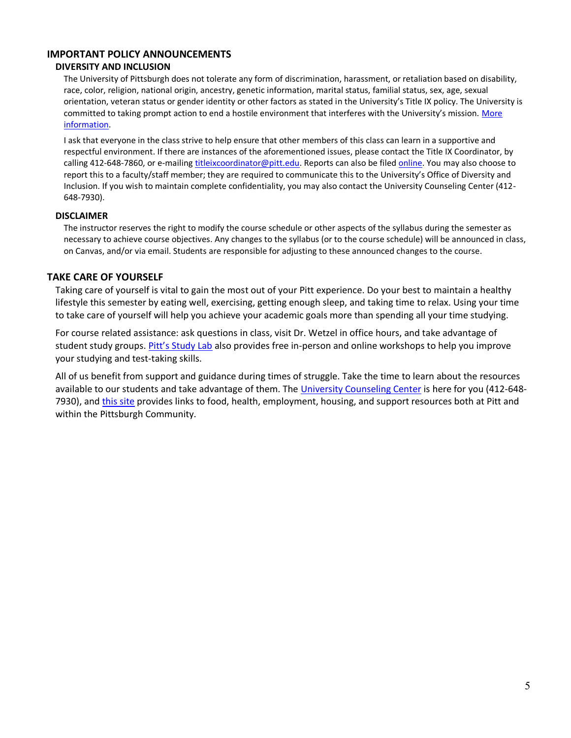## **IMPORTANT POLICY ANNOUNCEMENTS**

#### **DIVERSITY AND INCLUSION**

The University of Pittsburgh does not tolerate any form of discrimination, harassment, or retaliation based on disability, race, color, religion, national origin, ancestry, genetic information, marital status, familial status, sex, age, sexual orientation, veteran status or gender identity or other factors as stated in the University's Title IX policy. The University is committed to taking prompt action to end a hostile environment that interferes with the University's mission. More [information.](https://www.diversity.pitt.edu/civil-rights-title-ix-compliance/policies-procedures-and-practices/notice-non-discrimination)

I ask that everyone in the class strive to help ensure that other members of this class can learn in a supportive and respectful environment. If there are instances of the aforementioned issues, please contact the Title IX Coordinator, by calling 412-648-7860, or e-mailing [titleixcoordinator@pitt.edu.](mailto:titleixcoordinator@pitt.edu) Reports can also be file[d online.](https://www.diversity.pitt.edu/civil-rights-title-ix/make-report/report-form) You may also choose to report this to a faculty/staff member; they are required to communicate this to the University's Office of Diversity and Inclusion. If you wish to maintain complete confidentiality, you may also contact the University Counseling Center (412- 648-7930).

## **DISCLAIMER**

The instructor reserves the right to modify the course schedule or other aspects of the syllabus during the semester as necessary to achieve course objectives. Any changes to the syllabus (or to the course schedule) will be announced in class, on Canvas, and/or via email. Students are responsible for adjusting to these announced changes to the course.

## **TAKE CARE OF YOURSELF**

Taking care of yourself is vital to gain the most out of your Pitt experience. Do your best to maintain a healthy lifestyle this semester by eating well, exercising, getting enough sleep, and taking time to relax. Using your time to take care of yourself will help you achieve your academic goals more than spending all your time studying.

For course related assistance: ask questions in class, visit Dr. Wetzel in office hours, and take advantage of student study groups. [Pitt's Study Lab](http://www.asundergrad.pitt.edu/study-lab) also provides free in-person and online workshops to help you improve your studying and test-taking skills.

All of us benefit from support and guidance during times of struggle. Take the time to learn about the resources available to our students and take advantage of them. The [University Counseling Center](http://www.studentaffairs.pitt.edu/cc/) is here for you (412-648 7930), an[d this site](https://pitt.libguides.com/c.php?g=764210&p=5481767) provides links to food, health, employment, housing, and support resources both at Pitt and within the Pittsburgh Community.